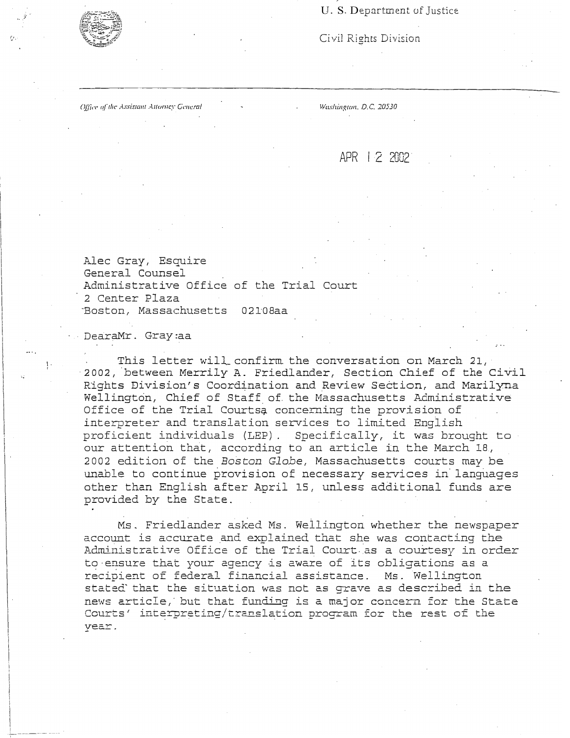U. S. Department of Justice

Civil Rights Division

Office of the Assistant Attorney General

*y·* 

I.

. ,: ------- ---·-· .

*\\!m/zingum. D.C. 20530* 

APR I 2 2002

Alec Gray, Esquire General Counsel Administrative Office of the Trial Court 2 Center Plaza ··Boston, Massachusetts 02108aa

DearaMr. Gray:aa

This letter will\_\_ confirm. the conversation on March 21, 2002, between Merrily A. Friedlander, Section Chief of the Civil Rights Division's Coordination and Review Section, and Marilyna Wellington, Chief of Staff of the Massachusetts Administrative Office of the Trial Courtsa concerning the provision of interpreter and translation services to limited English proficient individuals (LEP). Specifically, it was brought to our attention that, according to an article in the March 18, 2002 edition of the *Boston Globe,* Massachusetts courts may be unable to continue provision of necessary services in languages other than English after April 15, unless additional funds are provided by the State.

Ms. Friedlander asked Ms. Wellington whether the newspaper account is accurate and explained that she was contacting the Administrative Office of the Trial Court. as a courtesy in orde r **to-ensure that your agency is aware of its obligations as a recipient of federal financial assistance. Ms. Wellington stated' that the situation was not as grave as described in the news article,·** but **that** fu..T1ding is **a major concern for the State**  Courts' interpreting/translation program for the rest of the **year**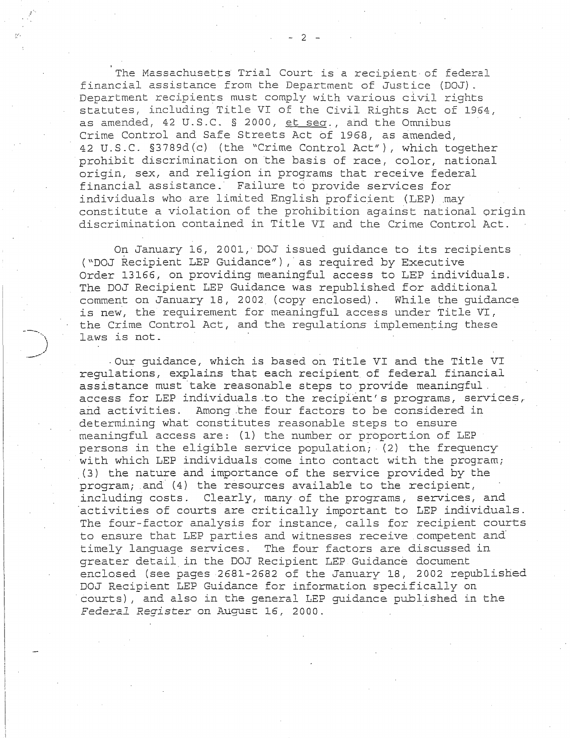The Massachusetts Trial Court is a recipient of federal financial assistance from the Department of Justice (D0J) \_ Department recipients must comply with various civil rights statutes, including Title VI of the Civil Rights Act of 1964, as amended, 42 U.S.C. § 2000, et sea., and the Omnibus Crime Control and Safe Streets Act of 1968, as amended, 42 U.S.C. §3789d(c) (the "Crime Control Act"), which together prohibit discrimination on the basis of race, color, national origin, sex, and religion in programs that receive federal financial assistance. Failure to provide services for individuals who are limited English proficient (LEP) may constitute a violation of the prohibition against national origin discrimination contained in Title VI and the Crime Control Act.

On January 16, 2001, D0J issued guidance to its recipients ("DOJ Recipient LEP Guidance"), as required by Executive Order 13166, on providing meaningful access to LEP individuals, The DOJ Recipient LEP Guidance was republished for additional comment on January 18, 2002 (copy enclosed). While the guidance is new, the requirement for meaningful access under Title VI, the Crime Control Act, and the regulations implementing these laws is not.

--.

)

-Our guidance, which is based on Title VI and the Title VI regulations, explains that each recipient of federal financial assistance must take reasonable steps to provide meaningful. access for LEP individuals .to the recipient's programs, services, and activities. Among the four factors to be considered in determining what constitutes reasonable steps to ensure meaningful access are: (1) the number or proportion of LEP persons in the eligible service population; (2) the frequency with which LEP individuals come into contact with the program; (3) the nature and importance of the service provided by the  $program;$  and  $(4)$  the resources available to the recipient, including costs. Clearly, many of the programs, services, and ·activities of courts are critically important to LEP individuals. The four-factor analysis for instance, calls for recipient courts to ensure that LEP parties and witnesses receive competent and· timely language services. The four factors are discussed in greater detail. in the D0J Recipient LEP Guidance document enclosed (see pages 2681-2682 of the January 18, 2002 republished D0J Recipient LEP Guidance for information specifically on ·courts) , and also in the general LEP guidance published in the *Federal Register* on August 16, 2000.